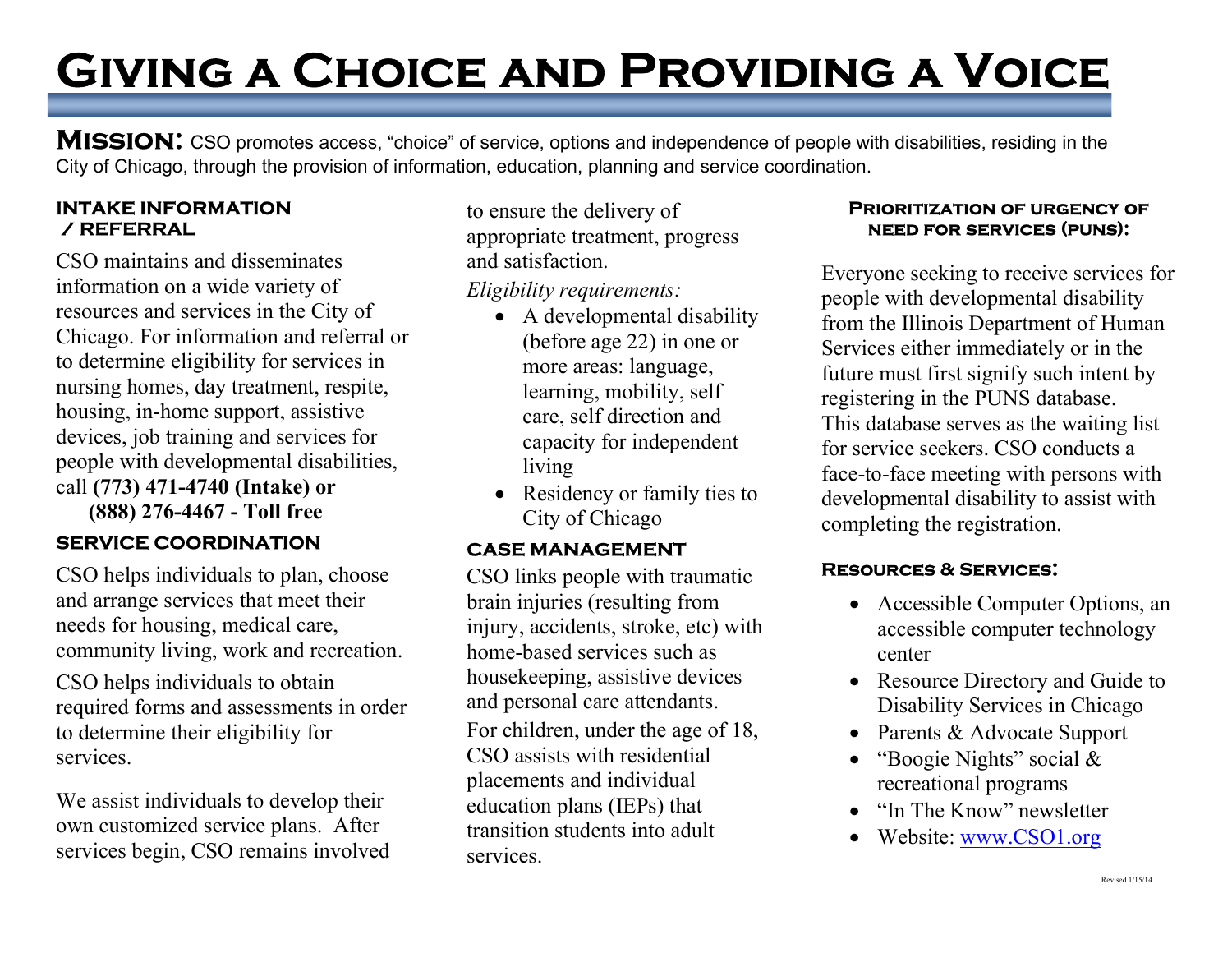# Giving a Choice and Providing a Voice

MISSION: CSO promotes access, "choice" of service, options and independence of people with disabilities, residing in the City of Chicago, through the provision of information, education, planning and service coordination.

#### INTAKE INFORMATION / REFERRAL

ı

CSO maintains and disseminates information on a wide variety of resources and services in the City of Chicago. For information and referral or to determine eligibility for services in nursing homes, day treatment, respite, housing, in-home support, assistive devices, job training and services for people with developmental disabilities, call (773) 471-4740 (Intake) or (888) 276-4467 - Toll free

### SERVICE COORDINATION

CSO helps individuals to plan, choose and arrange services that meet their needs for housing, medical care, community living, work and recreation.

CSO helps individuals to obtain required forms and assessments in order to determine their eligibility for services.

We assist individuals to develop their own customized service plans. After services begin, CSO remains involved to ensure the delivery of appropriate treatment, progress and satisfaction.

Eligibility requirements:

- A developmental disability (before age 22) in one or more areas: language, learning, mobility, self care, self direction and capacity for independent living
- Residency or family ties to City of Chicago

#### CASE MANAGEMENT

CSO links people with traumatic brain injuries (resulting from injury, accidents, stroke, etc) with home-based services such as housekeeping, assistive devices and personal care attendants. For children, under the age of 18, CSO assists with residential placements and individual education plans (IEPs) that transition students into adult services.

#### Prioritization of urgency of need for services (puns):

Everyone seeking to receive services for people with developmental disability from the Illinois Department of Human Services either immediately or in the future must first signify such intent by registering in the PUNS database. This database serves as the waiting list for service seekers. CSO conducts a face-to-face meeting with persons with developmental disability to assist with completing the registration.

#### Resources & Services:

- Accessible Computer Options, an accessible computer technology center
- Resource Directory and Guide to Disability Services in Chicago
- Parents & Advocate Support
- "Boogie Nights" social  $&$ recreational programs
- "In The Know" newsletter
- Website: www.CSO1.org